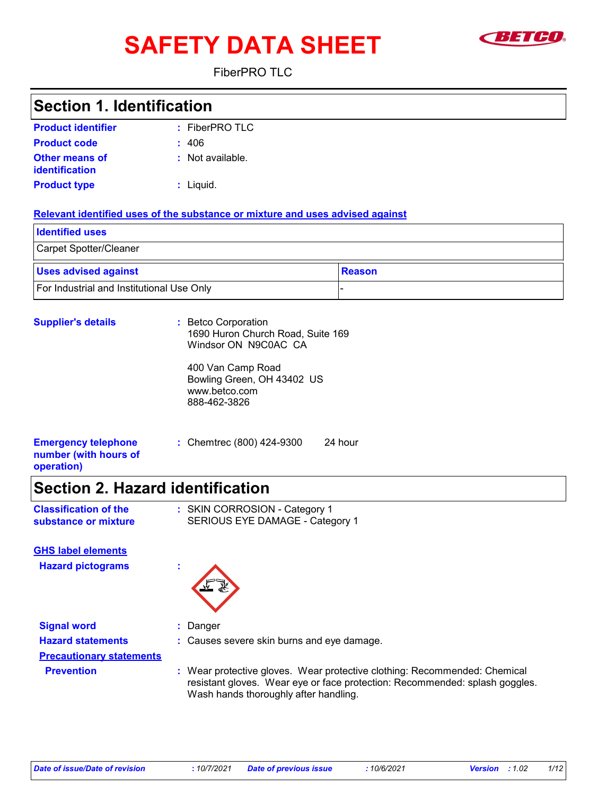# **SAFETY DATA SHEET EXAMPLE**



FiberPRO TLC

### **Section 1. Identification**

| <b>Product identifier</b>               | $:$ FiberPRO TLC |
|-----------------------------------------|------------------|
| <b>Product code</b>                     | : 406            |
| <b>Other means of</b><br>identification | : Not available. |
| <b>Product type</b>                     | : Liquid.        |

#### **Relevant identified uses of the substance or mixture and uses advised against**

| <b>I</b> Identified uses                  |               |
|-------------------------------------------|---------------|
| Carpet Spotter/Cleaner                    |               |
| <b>Uses advised against</b>               | <b>Reason</b> |
| For Industrial and Institutional Use Only |               |

| <b>Supplier's details</b>                                         | : Betco Corporation<br>1690 Huron Church Road, Suite 169<br>Windsor ON N9C0AC CA<br>400 Van Camp Road<br>Bowling Green, OH 43402 US<br>www.betco.com<br>888-462-3826 |  |
|-------------------------------------------------------------------|----------------------------------------------------------------------------------------------------------------------------------------------------------------------|--|
| <b>Emergency telephone</b><br>number (with hours of<br>operation) | : Chemtrec (800) 424-9300<br>24 hour                                                                                                                                 |  |
|                                                                   |                                                                                                                                                                      |  |

### **Section 2. Hazard identification**

| <b>Classification of the</b> | : SKIN CORROSION - Category 1   |
|------------------------------|---------------------------------|
| substance or mixture         | SERIOUS EYE DAMAGE - Category 1 |

**Hazard pictograms : GHS label elements**



**Signal word :** Danger **Hazard statements :** Causes severe skin burns and eye damage. **Precautionary statements Prevention <b>:** Wear protective gloves. Wear protective clothing: Recommended: Chemical resistant gloves. Wear eye or face protection: Recommended: splash goggles. Wash hands thoroughly after handling.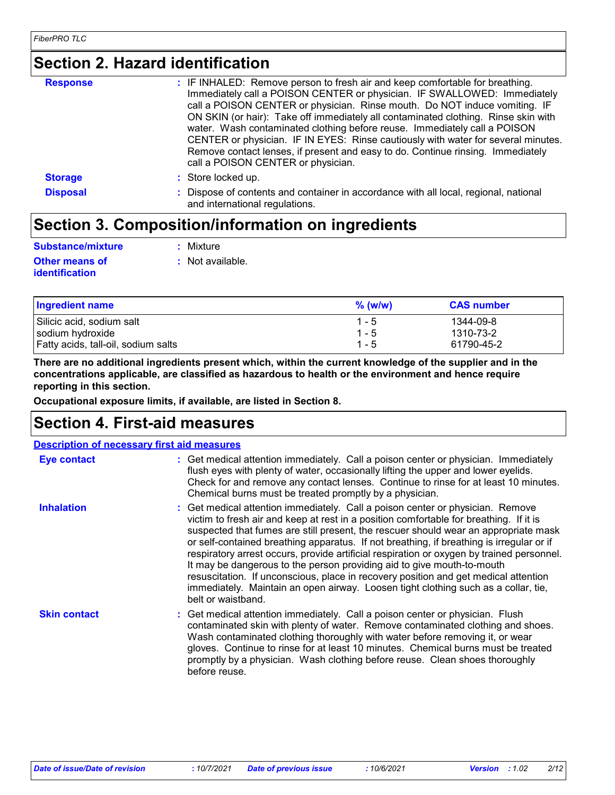## **Section 2. Hazard identification**

| <b>Response</b> | : IF INHALED: Remove person to fresh air and keep comfortable for breathing.<br>Immediately call a POISON CENTER or physician. IF SWALLOWED: Immediately<br>call a POISON CENTER or physician. Rinse mouth. Do NOT induce vomiting. IF<br>ON SKIN (or hair): Take off immediately all contaminated clothing. Rinse skin with<br>water. Wash contaminated clothing before reuse. Immediately call a POISON<br>CENTER or physician. IF IN EYES: Rinse cautiously with water for several minutes.<br>Remove contact lenses, if present and easy to do. Continue rinsing. Immediately<br>call a POISON CENTER or physician. |
|-----------------|-------------------------------------------------------------------------------------------------------------------------------------------------------------------------------------------------------------------------------------------------------------------------------------------------------------------------------------------------------------------------------------------------------------------------------------------------------------------------------------------------------------------------------------------------------------------------------------------------------------------------|
| <b>Storage</b>  | : Store locked up.                                                                                                                                                                                                                                                                                                                                                                                                                                                                                                                                                                                                      |
| <b>Disposal</b> | : Dispose of contents and container in accordance with all local, regional, national<br>and international regulations.                                                                                                                                                                                                                                                                                                                                                                                                                                                                                                  |

## **Section 3. Composition/information on ingredients**

| Substance/mixture     | : Mixture          |
|-----------------------|--------------------|
| <b>Other means of</b> | $:$ Not available. |
| <b>identification</b> |                    |

Silicic acid, sodium salt 1 - 5 1344-09-8<br>
Sodium hydroxide 1 - 5 1310-73-2 sodium hydroxide 1310-73-2 Fatty acids, tall-oil, sodium salts 1 - 6 1790-45-2 **Ingredient name CAS number CAS number CAS number % (w/w)**

**There are no additional ingredients present which, within the current knowledge of the supplier and in the concentrations applicable, are classified as hazardous to health or the environment and hence require reporting in this section.**

**Occupational exposure limits, if available, are listed in Section 8.**

## **Section 4. First-aid measures**

| : Get medical attention immediately. Call a poison center or physician. Immediately<br>flush eyes with plenty of water, occasionally lifting the upper and lower eyelids.<br>Check for and remove any contact lenses. Continue to rinse for at least 10 minutes.<br>Chemical burns must be treated promptly by a physician.                                                                                                                                                                                                                                                                                                                                                                                                           |
|---------------------------------------------------------------------------------------------------------------------------------------------------------------------------------------------------------------------------------------------------------------------------------------------------------------------------------------------------------------------------------------------------------------------------------------------------------------------------------------------------------------------------------------------------------------------------------------------------------------------------------------------------------------------------------------------------------------------------------------|
| : Get medical attention immediately. Call a poison center or physician. Remove<br>victim to fresh air and keep at rest in a position comfortable for breathing. If it is<br>suspected that fumes are still present, the rescuer should wear an appropriate mask<br>or self-contained breathing apparatus. If not breathing, if breathing is irregular or if<br>respiratory arrest occurs, provide artificial respiration or oxygen by trained personnel.<br>It may be dangerous to the person providing aid to give mouth-to-mouth<br>resuscitation. If unconscious, place in recovery position and get medical attention<br>immediately. Maintain an open airway. Loosen tight clothing such as a collar, tie,<br>belt or waistband. |
| : Get medical attention immediately. Call a poison center or physician. Flush<br>contaminated skin with plenty of water. Remove contaminated clothing and shoes.<br>Wash contaminated clothing thoroughly with water before removing it, or wear<br>gloves. Continue to rinse for at least 10 minutes. Chemical burns must be treated<br>promptly by a physician. Wash clothing before reuse. Clean shoes thoroughly                                                                                                                                                                                                                                                                                                                  |
|                                                                                                                                                                                                                                                                                                                                                                                                                                                                                                                                                                                                                                                                                                                                       |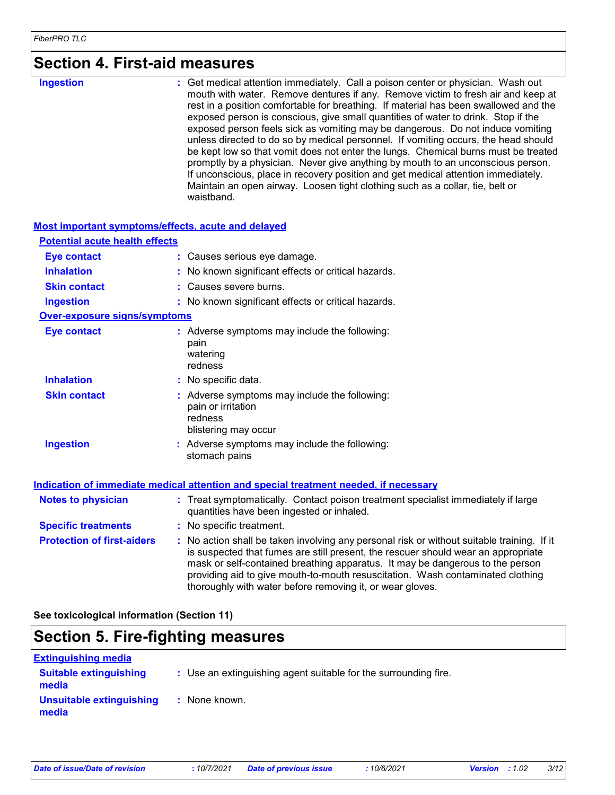## **Section 4. First-aid measures**

| <b>Ingestion</b> | : Get medical attention immediately. Call a poison center or physician. Wash out<br>mouth with water. Remove dentures if any. Remove victim to fresh air and keep at      |
|------------------|---------------------------------------------------------------------------------------------------------------------------------------------------------------------------|
|                  | rest in a position comfortable for breathing. If material has been swallowed and the<br>exposed person is conscious, give small quantities of water to drink. Stop if the |
|                  | exposed person feels sick as vomiting may be dangerous. Do not induce vomiting<br>unless directed to do so by medical personnel. If vomiting occurs, the head should      |
|                  | be kept low so that vomit does not enter the lungs. Chemical burns must be treated<br>promptly by a physician. Never give anything by mouth to an unconscious person.     |
|                  | If unconscious, place in recovery position and get medical attention immediately.                                                                                         |
|                  | Maintain an open airway. Loosen tight clothing such as a collar, tie, belt or<br>waistband.                                                                               |

#### **Most important symptoms/effects, acute and delayed**

| <b>Potential acute health effects</b> |                                                                                                                                                                                                                                                                                                                                                                                                                 |
|---------------------------------------|-----------------------------------------------------------------------------------------------------------------------------------------------------------------------------------------------------------------------------------------------------------------------------------------------------------------------------------------------------------------------------------------------------------------|
| <b>Eye contact</b>                    | : Causes serious eye damage.                                                                                                                                                                                                                                                                                                                                                                                    |
| <b>Inhalation</b>                     | : No known significant effects or critical hazards.                                                                                                                                                                                                                                                                                                                                                             |
| <b>Skin contact</b>                   | : Causes severe burns.                                                                                                                                                                                                                                                                                                                                                                                          |
| <b>Ingestion</b>                      | : No known significant effects or critical hazards.                                                                                                                                                                                                                                                                                                                                                             |
| <b>Over-exposure signs/symptoms</b>   |                                                                                                                                                                                                                                                                                                                                                                                                                 |
| <b>Eye contact</b>                    | : Adverse symptoms may include the following:<br>pain<br>watering<br>redness                                                                                                                                                                                                                                                                                                                                    |
| <b>Inhalation</b>                     | : No specific data.                                                                                                                                                                                                                                                                                                                                                                                             |
| <b>Skin contact</b>                   | : Adverse symptoms may include the following:<br>pain or irritation<br>redness<br>blistering may occur                                                                                                                                                                                                                                                                                                          |
| <b>Ingestion</b>                      | : Adverse symptoms may include the following:<br>stomach pains                                                                                                                                                                                                                                                                                                                                                  |
|                                       | Indication of immediate medical attention and special treatment needed, if necessary                                                                                                                                                                                                                                                                                                                            |
| <b>Notes to physician</b>             | : Treat symptomatically. Contact poison treatment specialist immediately if large<br>quantities have been ingested or inhaled.                                                                                                                                                                                                                                                                                  |
| <b>Specific treatments</b>            | : No specific treatment.                                                                                                                                                                                                                                                                                                                                                                                        |
| <b>Protection of first-aiders</b>     | : No action shall be taken involving any personal risk or without suitable training. If it<br>is suspected that fumes are still present, the rescuer should wear an appropriate<br>mask or self-contained breathing apparatus. It may be dangerous to the person<br>providing aid to give mouth-to-mouth resuscitation. Wash contaminated clothing<br>thoroughly with water before removing it, or wear gloves. |

**See toxicological information (Section 11)**

## **Section 5. Fire-fighting measures**

| <b>Extinguishing media</b>             |                                                                 |  |
|----------------------------------------|-----------------------------------------------------------------|--|
| <b>Suitable extinguishing</b><br>media | : Use an extinguishing agent suitable for the surrounding fire. |  |
| Unsuitable extinguishing<br>media      | : None known.                                                   |  |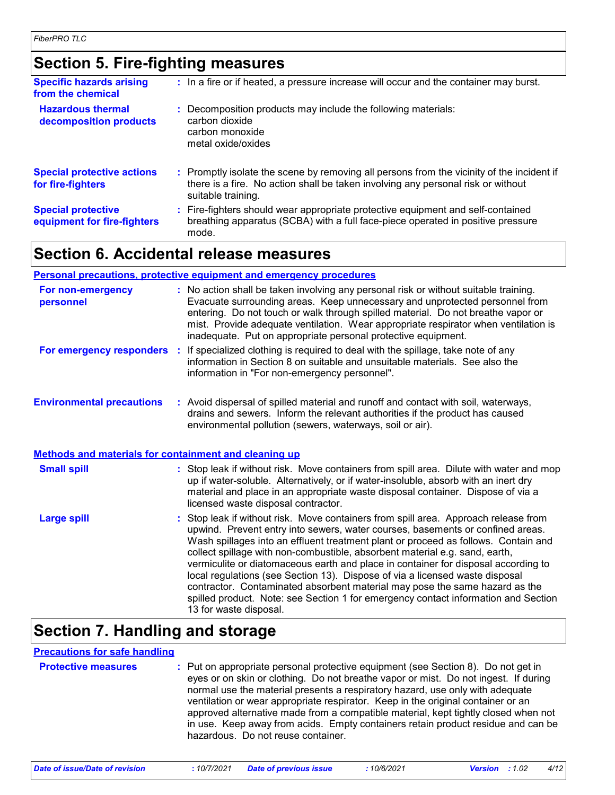## **Section 5. Fire-fighting measures**

| <b>Specific hazards arising</b><br>from the chemical     | : In a fire or if heated, a pressure increase will occur and the container may burst.                                                                                                               |
|----------------------------------------------------------|-----------------------------------------------------------------------------------------------------------------------------------------------------------------------------------------------------|
| <b>Hazardous thermal</b><br>decomposition products       | : Decomposition products may include the following materials:<br>carbon dioxide<br>carbon monoxide<br>metal oxide/oxides                                                                            |
| <b>Special protective actions</b><br>for fire-fighters   | : Promptly isolate the scene by removing all persons from the vicinity of the incident if<br>there is a fire. No action shall be taken involving any personal risk or without<br>suitable training. |
| <b>Special protective</b><br>equipment for fire-fighters | : Fire-fighters should wear appropriate protective equipment and self-contained<br>breathing apparatus (SCBA) with a full face-piece operated in positive pressure<br>mode.                         |

### **Section 6. Accidental release measures**

|                                                              | <b>Personal precautions, protective equipment and emergency procedures</b>                                                                                                                                                                                                                                                                                                                                                                                                                                                                                                                                                                                                                                      |
|--------------------------------------------------------------|-----------------------------------------------------------------------------------------------------------------------------------------------------------------------------------------------------------------------------------------------------------------------------------------------------------------------------------------------------------------------------------------------------------------------------------------------------------------------------------------------------------------------------------------------------------------------------------------------------------------------------------------------------------------------------------------------------------------|
| For non-emergency<br>personnel                               | : No action shall be taken involving any personal risk or without suitable training.<br>Evacuate surrounding areas. Keep unnecessary and unprotected personnel from<br>entering. Do not touch or walk through spilled material. Do not breathe vapor or<br>mist. Provide adequate ventilation. Wear appropriate respirator when ventilation is<br>inadequate. Put on appropriate personal protective equipment.                                                                                                                                                                                                                                                                                                 |
|                                                              | For emergency responders : If specialized clothing is required to deal with the spillage, take note of any<br>information in Section 8 on suitable and unsuitable materials. See also the<br>information in "For non-emergency personnel".                                                                                                                                                                                                                                                                                                                                                                                                                                                                      |
| <b>Environmental precautions</b>                             | : Avoid dispersal of spilled material and runoff and contact with soil, waterways,<br>drains and sewers. Inform the relevant authorities if the product has caused<br>environmental pollution (sewers, waterways, soil or air).                                                                                                                                                                                                                                                                                                                                                                                                                                                                                 |
| <b>Methods and materials for containment and cleaning up</b> |                                                                                                                                                                                                                                                                                                                                                                                                                                                                                                                                                                                                                                                                                                                 |
| <b>Small spill</b>                                           | : Stop leak if without risk. Move containers from spill area. Dilute with water and mop<br>up if water-soluble. Alternatively, or if water-insoluble, absorb with an inert dry<br>material and place in an appropriate waste disposal container. Dispose of via a<br>licensed waste disposal contractor.                                                                                                                                                                                                                                                                                                                                                                                                        |
| <b>Large spill</b>                                           | : Stop leak if without risk. Move containers from spill area. Approach release from<br>upwind. Prevent entry into sewers, water courses, basements or confined areas.<br>Wash spillages into an effluent treatment plant or proceed as follows. Contain and<br>collect spillage with non-combustible, absorbent material e.g. sand, earth,<br>vermiculite or diatomaceous earth and place in container for disposal according to<br>local regulations (see Section 13). Dispose of via a licensed waste disposal<br>contractor. Contaminated absorbent material may pose the same hazard as the<br>spilled product. Note: see Section 1 for emergency contact information and Section<br>13 for waste disposal. |

## **Section 7. Handling and storage**

#### **Precautions for safe handling**

| <b>Protective measures</b> | : Put on appropriate personal protective equipment (see Section 8). Do not get in<br>eyes or on skin or clothing. Do not breathe vapor or mist. Do not ingest. If during<br>normal use the material presents a respiratory hazard, use only with adequate<br>ventilation or wear appropriate respirator. Keep in the original container or an<br>approved alternative made from a compatible material, kept tightly closed when not<br>in use. Keep away from acids. Empty containers retain product residue and can be<br>hazardous. Do not reuse container. |
|----------------------------|---------------------------------------------------------------------------------------------------------------------------------------------------------------------------------------------------------------------------------------------------------------------------------------------------------------------------------------------------------------------------------------------------------------------------------------------------------------------------------------------------------------------------------------------------------------|
|                            |                                                                                                                                                                                                                                                                                                                                                                                                                                                                                                                                                               |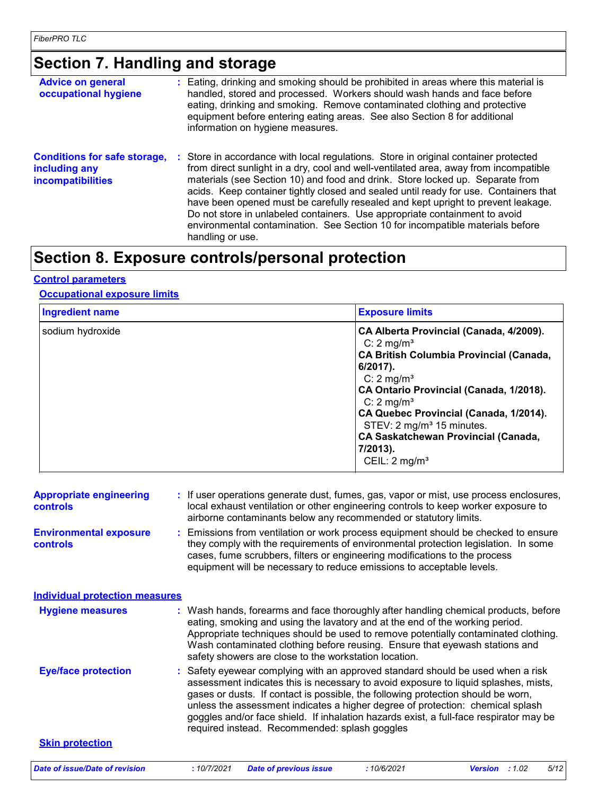## **Section 7. Handling and storage**

| <b>Advice on general</b><br>occupational hygiene                                 | : Eating, drinking and smoking should be prohibited in areas where this material is<br>handled, stored and processed. Workers should wash hands and face before<br>eating, drinking and smoking. Remove contaminated clothing and protective<br>equipment before entering eating areas. See also Section 8 for additional<br>information on hygiene measures.                                                                                                                                                                                                                                                               |
|----------------------------------------------------------------------------------|-----------------------------------------------------------------------------------------------------------------------------------------------------------------------------------------------------------------------------------------------------------------------------------------------------------------------------------------------------------------------------------------------------------------------------------------------------------------------------------------------------------------------------------------------------------------------------------------------------------------------------|
| <b>Conditions for safe storage,</b><br>including any<br><b>incompatibilities</b> | : Store in accordance with local regulations. Store in original container protected<br>from direct sunlight in a dry, cool and well-ventilated area, away from incompatible<br>materials (see Section 10) and food and drink. Store locked up. Separate from<br>acids. Keep container tightly closed and sealed until ready for use. Containers that<br>have been opened must be carefully resealed and kept upright to prevent leakage.<br>Do not store in unlabeled containers. Use appropriate containment to avoid<br>environmental contamination. See Section 10 for incompatible materials before<br>handling or use. |

### **Section 8. Exposure controls/personal protection**

#### **Control parameters**

#### **Occupational exposure limits**

| <b>Ingredient name</b> | <b>Exposure limits</b>                                                                                                                                                                                                                                                                                                                                                                           |
|------------------------|--------------------------------------------------------------------------------------------------------------------------------------------------------------------------------------------------------------------------------------------------------------------------------------------------------------------------------------------------------------------------------------------------|
| sodium hydroxide       | CA Alberta Provincial (Canada, 4/2009).<br>C: $2 \text{ mg/m}^3$<br><b>CA British Columbia Provincial (Canada,</b><br>$6/2017$ ).<br>C: 2 mg/ $m3$<br>CA Ontario Provincial (Canada, 1/2018).<br>C: 2 mg/m <sup>3</sup><br>CA Quebec Provincial (Canada, 1/2014).<br>STEV: 2 mg/m <sup>3</sup> 15 minutes.<br><b>CA Saskatchewan Provincial (Canada,</b><br>7/2013).<br>CEIL: $2 \text{ mg/m}^3$ |

| <b>Appropriate engineering</b> | : If user operations generate dust, fumes, gas, vapor or mist, use process enclosures, |
|--------------------------------|----------------------------------------------------------------------------------------|
| controls                       | local exhaust ventilation or other engineering controls to keep worker exposure to     |
|                                | airborne contaminants below any recommended or statutory limits.                       |

**Environmental exposure controls :** Emissions from ventilation or work process equipment should be checked to ensure they comply with the requirements of environmental protection legislation. In some cases, fume scrubbers, filters or engineering modifications to the process equipment will be necessary to reduce emissions to acceptable levels.

**Hygiene measures : Individual protection measures**

Wash hands, forearms and face thoroughly after handling chemical products, before eating, smoking and using the lavatory and at the end of the working period. Appropriate techniques should be used to remove potentially contaminated clothing. Wash contaminated clothing before reusing. Ensure that eyewash stations and safety showers are close to the workstation location.

Safety eyewear complying with an approved standard should be used when a risk assessment indicates this is necessary to avoid exposure to liquid splashes, mists, gases or dusts. If contact is possible, the following protection should be worn, unless the assessment indicates a higher degree of protection: chemical splash goggles and/or face shield. If inhalation hazards exist, a full-face respirator may be required instead. Recommended: splash goggles **Eye/face protection :**

#### **Skin protection**

*Date of issue/Date of revision* **:** *10/7/2021 Date of previous issue : 10/6/2021 Version : 1.02 5/12*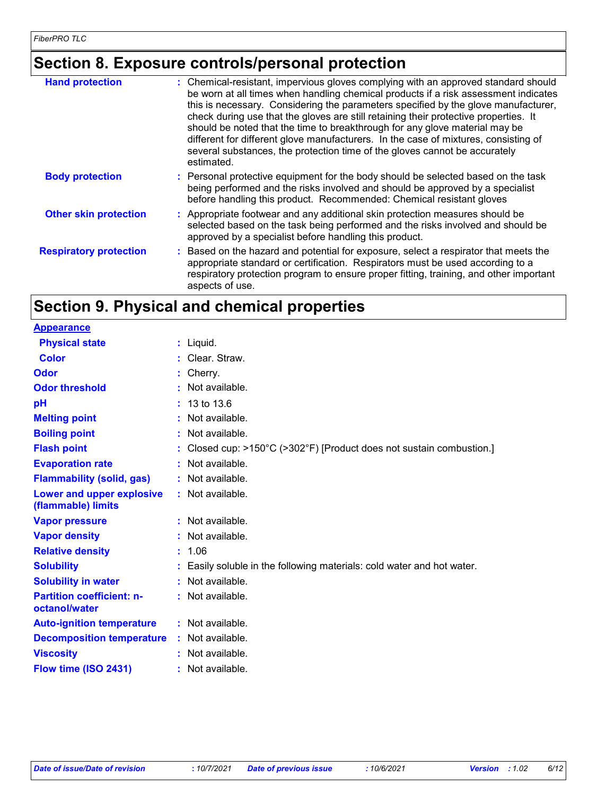## **Section 8. Exposure controls/personal protection**

| <b>Hand protection</b>        | : Chemical-resistant, impervious gloves complying with an approved standard should<br>be worn at all times when handling chemical products if a risk assessment indicates<br>this is necessary. Considering the parameters specified by the glove manufacturer,<br>check during use that the gloves are still retaining their protective properties. It<br>should be noted that the time to breakthrough for any glove material may be<br>different for different glove manufacturers. In the case of mixtures, consisting of<br>several substances, the protection time of the gloves cannot be accurately<br>estimated. |
|-------------------------------|---------------------------------------------------------------------------------------------------------------------------------------------------------------------------------------------------------------------------------------------------------------------------------------------------------------------------------------------------------------------------------------------------------------------------------------------------------------------------------------------------------------------------------------------------------------------------------------------------------------------------|
| <b>Body protection</b>        | : Personal protective equipment for the body should be selected based on the task<br>being performed and the risks involved and should be approved by a specialist<br>before handling this product. Recommended: Chemical resistant gloves                                                                                                                                                                                                                                                                                                                                                                                |
| <b>Other skin protection</b>  | : Appropriate footwear and any additional skin protection measures should be<br>selected based on the task being performed and the risks involved and should be<br>approved by a specialist before handling this product.                                                                                                                                                                                                                                                                                                                                                                                                 |
| <b>Respiratory protection</b> | : Based on the hazard and potential for exposure, select a respirator that meets the<br>appropriate standard or certification. Respirators must be used according to a<br>respiratory protection program to ensure proper fitting, training, and other important<br>aspects of use.                                                                                                                                                                                                                                                                                                                                       |

## **Section 9. Physical and chemical properties**

| <b>Appearance</b>                                 |                                                                        |
|---------------------------------------------------|------------------------------------------------------------------------|
| <b>Physical state</b>                             | $:$ Liquid.                                                            |
| <b>Color</b>                                      | : Clear. Straw.                                                        |
| Odor                                              | : Cherry.                                                              |
| <b>Odor threshold</b>                             | $:$ Not available.                                                     |
| рH                                                | $: 13 \text{ to } 13.6$                                                |
| <b>Melting point</b>                              | $:$ Not available.                                                     |
| <b>Boiling point</b>                              | : Not available.                                                       |
| <b>Flash point</b>                                | : Closed cup: >150°C (>302°F) [Product does not sustain combustion.]   |
| <b>Evaporation rate</b>                           | : Not available.                                                       |
| <b>Flammability (solid, gas)</b>                  | : Not available.                                                       |
| Lower and upper explosive<br>(flammable) limits   | : Not available.                                                       |
| <b>Vapor pressure</b>                             | $:$ Not available.                                                     |
| <b>Vapor density</b>                              | : Not available.                                                       |
| <b>Relative density</b>                           | : 1.06                                                                 |
| <b>Solubility</b>                                 | : Easily soluble in the following materials: cold water and hot water. |
| <b>Solubility in water</b>                        | : Not available.                                                       |
| <b>Partition coefficient: n-</b><br>octanol/water | $:$ Not available.                                                     |
| <b>Auto-ignition temperature</b>                  | : Not available.                                                       |
| <b>Decomposition temperature</b>                  | : Not available.                                                       |
| <b>Viscosity</b>                                  | $:$ Not available.                                                     |
| Flow time (ISO 2431)                              | $:$ Not available.                                                     |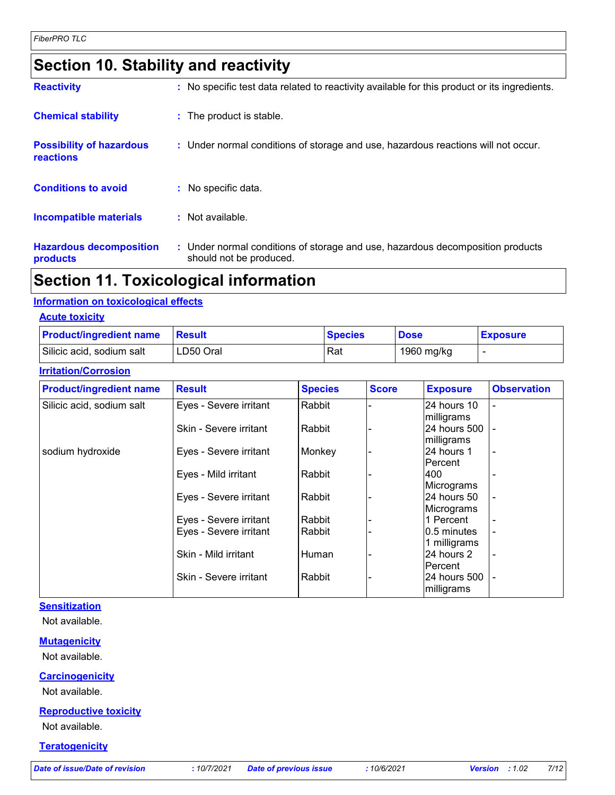## **Section 10. Stability and reactivity**

| <b>A. . 45. 44</b>                           | The continued to the contribution of the contribution of the contribution of the contribution of the contribution of the contribution of the contribution of the contribution of the contribution of the contribution of the c |
|----------------------------------------------|--------------------------------------------------------------------------------------------------------------------------------------------------------------------------------------------------------------------------------|
| <b>Hazardous decomposition</b><br>products   | : Under normal conditions of storage and use, hazardous decomposition products<br>should not be produced.                                                                                                                      |
| Incompatible materials                       | : Not available.                                                                                                                                                                                                               |
| <b>Conditions to avoid</b>                   | $:$ No specific data.                                                                                                                                                                                                          |
| <b>Possibility of hazardous</b><br>reactions | : Under normal conditions of storage and use, hazardous reactions will not occur.                                                                                                                                              |
| <b>Chemical stability</b>                    | : The product is stable.                                                                                                                                                                                                       |
| <b>Reactivity</b>                            | : No specific test data related to reactivity available for this product or its ingredients.                                                                                                                                   |

### **Section 11. Toxicological information**

#### **Information on toxicological effects**

| <b>Acute toxicity</b> |
|-----------------------|
|-----------------------|

| <b>Product/ingredient name Result</b> |           | <b>Species</b> | <b>Dose</b> | <b>Exposure</b> |
|---------------------------------------|-----------|----------------|-------------|-----------------|
| Silicic acid, sodium salt             | LD50 Oral | Rat            | 1960 mg/kg  |                 |

#### **Irritation/Corrosion**

| <b>Product/ingredient name</b> | <b>Result</b>          | <b>Species</b> | <b>Score</b> | <b>Exposure</b>                  | <b>Observation</b> |
|--------------------------------|------------------------|----------------|--------------|----------------------------------|--------------------|
| Silicic acid, sodium salt      | Eyes - Severe irritant | Rabbit         |              | 24 hours 10<br>milligrams        |                    |
|                                | Skin - Severe irritant | Rabbit         |              | 24 hours 500<br>milligrams       |                    |
| sodium hydroxide               | Eyes - Severe irritant | Monkey         |              | 24 hours 1<br>IPercent           |                    |
|                                | Eyes - Mild irritant   | Rabbit         |              | 400<br>Micrograms                |                    |
|                                | Eyes - Severe irritant | Rabbit         |              | 24 hours 50<br><b>Micrograms</b> |                    |
|                                | Eyes - Severe irritant | Rabbit         |              | 1 Percent                        |                    |
|                                | Eyes - Severe irritant | Rabbit         |              | 0.5 minutes<br>1 milligrams      |                    |
|                                | Skin - Mild irritant   | Human          |              | 24 hours 2<br>IPercent           |                    |
|                                | Skin - Severe irritant | Rabbit         |              | 24 hours 500<br>milligrams       |                    |

#### **Sensitization**

Not available.

#### **Mutagenicity**

Not available.

#### **Carcinogenicity**

Not available.

#### **Reproductive toxicity**

Not available.

#### **Teratogenicity**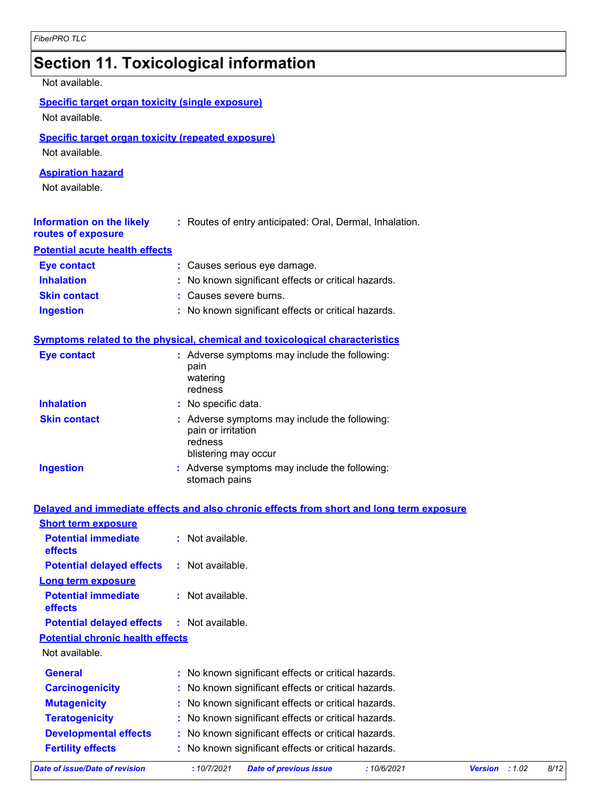## **Section 11. Toxicological information**

| Not available.                                                       |                                                                                                        |
|----------------------------------------------------------------------|--------------------------------------------------------------------------------------------------------|
| <b>Specific target organ toxicity (single exposure)</b>              |                                                                                                        |
| Not available.                                                       |                                                                                                        |
| Specific target organ toxicity (repeated exposure)<br>Not available. |                                                                                                        |
| <b>Aspiration hazard</b><br>Not available.                           |                                                                                                        |
| <b>Information on the likely</b><br>routes of exposure               | : Routes of entry anticipated: Oral, Dermal, Inhalation.                                               |
| <b>Potential acute health effects</b>                                |                                                                                                        |
| <b>Eye contact</b>                                                   | : Causes serious eye damage.                                                                           |
| <b>Inhalation</b>                                                    | : No known significant effects or critical hazards.                                                    |
| <b>Skin contact</b>                                                  | : Causes severe burns.                                                                                 |
| <b>Ingestion</b>                                                     | : No known significant effects or critical hazards.                                                    |
|                                                                      | Symptoms related to the physical, chemical and toxicological characteristics                           |
| <b>Eye contact</b>                                                   | : Adverse symptoms may include the following:<br>pain<br>watering<br>redness                           |
| <b>Inhalation</b>                                                    | : No specific data.                                                                                    |
| <b>Skin contact</b>                                                  | : Adverse symptoms may include the following:<br>pain or irritation<br>redness<br>blistering may occur |
| <b>Ingestion</b>                                                     | : Adverse symptoms may include the following:<br>stomach pains                                         |
|                                                                      | Delayed and immediate effects and also chronic effects from short and long term exposure               |
| <b>Short term exposure</b>                                           |                                                                                                        |
| المشمالة والمستمرة الماشور وشاور                                     | والمادان ويتملك والملطان                                                                               |

| <b>Potential immediate</b><br><b>effects</b> | $:$ Not available.                                        |                         |      |
|----------------------------------------------|-----------------------------------------------------------|-------------------------|------|
| <b>Potential delayed effects</b>             | : Not available.                                          |                         |      |
| <b>Long term exposure</b>                    |                                                           |                         |      |
| <b>Potential immediate</b><br>effects        | $:$ Not available.                                        |                         |      |
| <b>Potential delayed effects</b>             | : Not available.                                          |                         |      |
| <b>Potential chronic health effects</b>      |                                                           |                         |      |
| Not available.                               |                                                           |                         |      |
| <b>General</b>                               | : No known significant effects or critical hazards.       |                         |      |
| <b>Carcinogenicity</b>                       | : No known significant effects or critical hazards.       |                         |      |
| <b>Mutagenicity</b>                          | : No known significant effects or critical hazards.       |                         |      |
| <b>Teratogenicity</b>                        | : No known significant effects or critical hazards.       |                         |      |
| <b>Developmental effects</b>                 | : No known significant effects or critical hazards.       |                         |      |
| <b>Fertility effects</b>                     | : No known significant effects or critical hazards.       |                         |      |
| Date of issue/Date of revision               | :10/7/2021<br><b>Date of previous issue</b><br>:10/6/2021 | :1.02<br><b>Version</b> | 8/12 |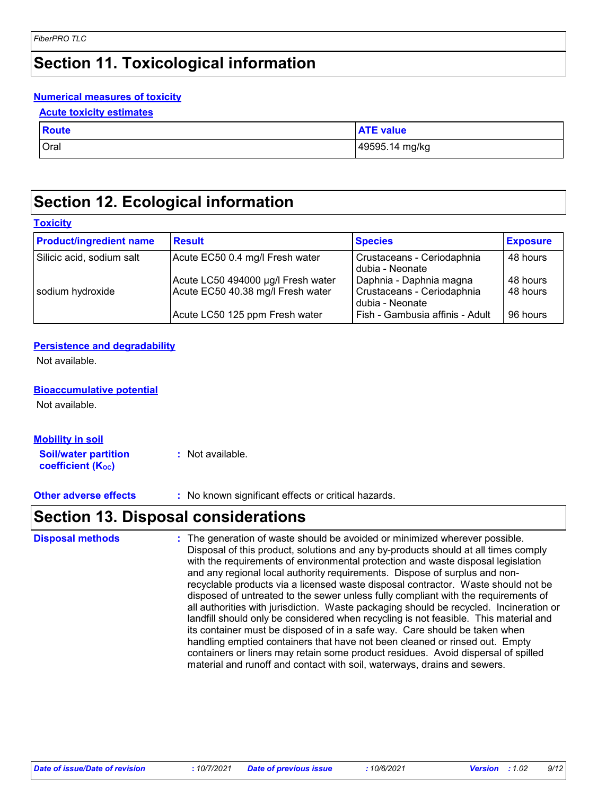## **Section 11. Toxicological information**

#### **Numerical measures of toxicity**

#### **Acute toxicity estimates**

| <b>Route</b> | <b>ATE value</b> |
|--------------|------------------|
| <b>Oral</b>  | 49595.14 mg/kg   |

## **Section 12. Ecological information**

#### **Toxicity**

| <b>Product/ingredient name</b> | <b>Result</b>                                                           | <b>Species</b>                                                           | <b>Exposure</b>      |
|--------------------------------|-------------------------------------------------------------------------|--------------------------------------------------------------------------|----------------------|
| Silicic acid, sodium salt      | Acute EC50 0.4 mg/l Fresh water                                         | Crustaceans - Ceriodaphnia<br>dubia - Neonate                            | 48 hours             |
| sodium hydroxide               | Acute LC50 494000 µg/l Fresh water<br>Acute EC50 40.38 mg/l Fresh water | Daphnia - Daphnia magna<br>Crustaceans - Ceriodaphnia<br>dubia - Neonate | 48 hours<br>48 hours |
|                                | Acute LC50 125 ppm Fresh water                                          | Fish - Gambusia affinis - Adult                                          | 96 hours             |

#### **Persistence and degradability**

Not available.

#### **Bioaccumulative potential**

Not available.

| <u>Mobility in soil</u>                          |                  |
|--------------------------------------------------|------------------|
| <b>Soil/water partition</b><br>coefficient (Koc) | : Not available. |

**Other adverse effects** : No known significant effects or critical hazards.

### **Section 13. Disposal considerations**

: The generation of waste should be avoided or minimized wherever possible. Disposal of this product, solutions and any by-products should at all times comply with the requirements of environmental protection and waste disposal legislation and any regional local authority requirements. Dispose of surplus and nonrecyclable products via a licensed waste disposal contractor. Waste should not be disposed of untreated to the sewer unless fully compliant with the requirements of all authorities with jurisdiction. Waste packaging should be recycled. Incineration or landfill should only be considered when recycling is not feasible. This material and its container must be disposed of in a safe way. Care should be taken when handling emptied containers that have not been cleaned or rinsed out. Empty containers or liners may retain some product residues. Avoid dispersal of spilled material and runoff and contact with soil, waterways, drains and sewers. **Disposal methods :**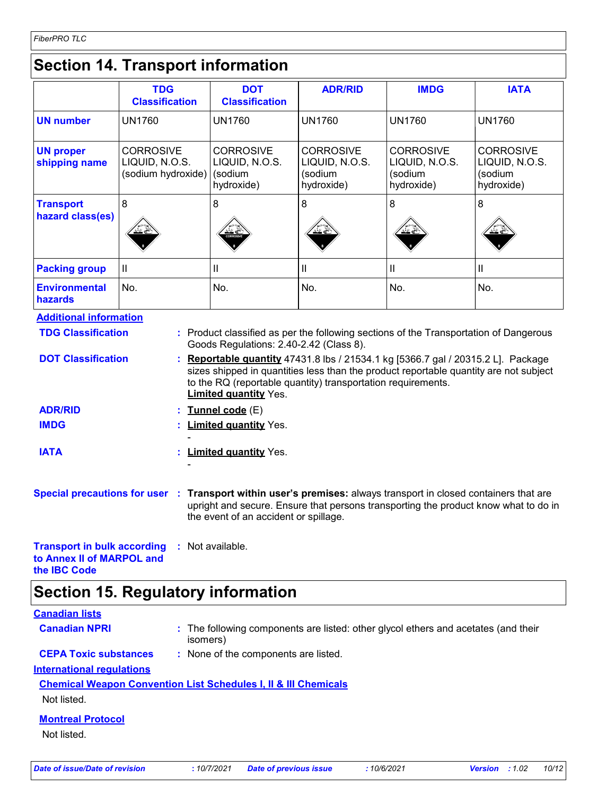## **Section 14. Transport information**

|                                      | <b>TDG</b><br><b>Classification</b>                      | <b>DOT</b><br><b>Classification</b>                         | <b>ADR/RID</b>                                              | <b>IMDG</b>                                                 | <b>IATA</b>                                                 |  |
|--------------------------------------|----------------------------------------------------------|-------------------------------------------------------------|-------------------------------------------------------------|-------------------------------------------------------------|-------------------------------------------------------------|--|
| <b>UN number</b>                     | <b>UN1760</b>                                            | <b>UN1760</b>                                               | <b>UN1760</b>                                               | <b>UN1760</b>                                               | <b>UN1760</b>                                               |  |
| <b>UN proper</b><br>shipping name    | <b>CORROSIVE</b><br>LIQUID, N.O.S.<br>(sodium hydroxide) | <b>CORROSIVE</b><br>LIQUID, N.O.S.<br>(sodium<br>hydroxide) | <b>CORROSIVE</b><br>LIQUID, N.O.S.<br>(sodium<br>hydroxide) | <b>CORROSIVE</b><br>LIQUID, N.O.S.<br>sodium)<br>hydroxide) | <b>CORROSIVE</b><br>LIQUID, N.O.S.<br>(sodium<br>hydroxide) |  |
| <b>Transport</b><br>hazard class(es) | 8<br>╩≚€                                                 | 8<br><b>CORROSVE</b>                                        | 8<br>کے گئے                                                 | 8<br>些些                                                     | 8<br>کے گئے                                                 |  |
| <b>Packing group</b>                 | $\mathbf{I}$                                             | Ш                                                           |                                                             | н                                                           | Ш                                                           |  |
| <b>Environmental</b><br>hazards      | No.                                                      | No.                                                         | No.                                                         | No.                                                         | No.                                                         |  |

| <b>Additional information</b>                      |                                                                                                                                                                                                                                                                           |
|----------------------------------------------------|---------------------------------------------------------------------------------------------------------------------------------------------------------------------------------------------------------------------------------------------------------------------------|
| <b>TDG Classification</b>                          | : Product classified as per the following sections of the Transportation of Dangerous<br>Goods Regulations: 2.40-2.42 (Class 8).                                                                                                                                          |
| <b>DOT Classification</b>                          | : Reportable quantity 47431.8 lbs / 21534.1 kg [5366.7 gal / 20315.2 L]. Package<br>sizes shipped in quantities less than the product reportable quantity are not subject<br>to the RQ (reportable quantity) transportation requirements.<br><b>Limited quantity Yes.</b> |
| <b>ADR/RID</b>                                     | : Tunnel code (E)                                                                                                                                                                                                                                                         |
| <b>IMDG</b>                                        | : Limited quantity Yes.                                                                                                                                                                                                                                                   |
|                                                    |                                                                                                                                                                                                                                                                           |
| <b>IATA</b>                                        | : Limited quantity Yes.                                                                                                                                                                                                                                                   |
|                                                    |                                                                                                                                                                                                                                                                           |
|                                                    | Special precautions for user : Transport within user's premises: always transport in closed containers that are<br>upright and secure. Ensure that persons transporting the product know what to do in<br>the event of an accident or spillage.                           |
| <b>Transport in bulk according : Not available</b> |                                                                                                                                                                                                                                                                           |

**Transport in bulk according to Annex II of MARPOL and the IBC Code :** Not available.

## **Section 15. Regulatory information**

| <b>Canadian lists</b>            |                                                                                                |
|----------------------------------|------------------------------------------------------------------------------------------------|
| <b>Canadian NPRI</b>             | : The following components are listed: other glycol ethers and acetates (and their<br>isomers) |
| <b>CEPA Toxic substances</b>     | : None of the components are listed.                                                           |
| <b>International regulations</b> |                                                                                                |
|                                  | <b>Chemical Weapon Convention List Schedules I, II &amp; III Chemicals</b>                     |
| Not listed.                      |                                                                                                |
| <b>Montreal Protocol</b>         |                                                                                                |
| Not listed.                      |                                                                                                |
|                                  |                                                                                                |
|                                  |                                                                                                |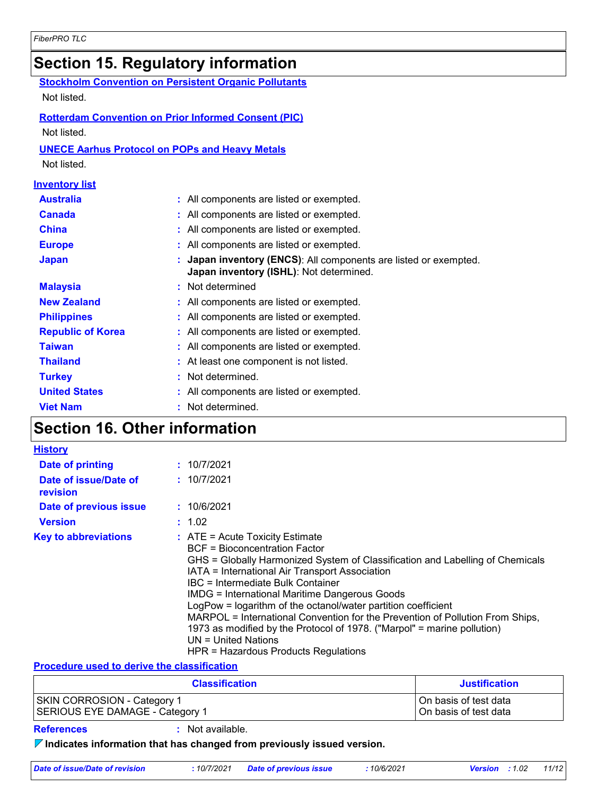## **Section 15. Regulatory information**

|                          | <b>Stockholm Convention on Persistent Organic Pollutants</b>                                              |
|--------------------------|-----------------------------------------------------------------------------------------------------------|
| Not listed.              |                                                                                                           |
|                          | <b>Rotterdam Convention on Prior Informed Consent (PIC)</b>                                               |
| Not listed.              |                                                                                                           |
|                          |                                                                                                           |
|                          | <b>UNECE Aarhus Protocol on POPs and Heavy Metals</b>                                                     |
| Not listed.              |                                                                                                           |
| <b>Inventory list</b>    |                                                                                                           |
| <b>Australia</b>         | All components are listed or exempted.                                                                    |
| <b>Canada</b>            | All components are listed or exempted.                                                                    |
| China                    | All components are listed or exempted.                                                                    |
| <b>Europe</b>            | All components are listed or exempted.                                                                    |
| <b>Japan</b>             | Japan inventory (ENCS): All components are listed or exempted.<br>Japan inventory (ISHL): Not determined. |
| <b>Malaysia</b>          | Not determined                                                                                            |
| <b>New Zealand</b>       | All components are listed or exempted.                                                                    |
| <b>Philippines</b>       | All components are listed or exempted.                                                                    |
| <b>Republic of Korea</b> | All components are listed or exempted.                                                                    |
| <b>Taiwan</b>            | All components are listed or exempted.                                                                    |
| <b>Thailand</b>          | At least one component is not listed.                                                                     |
| <b>Turkey</b>            | Not determined.                                                                                           |
| <b>United States</b>     | All components are listed or exempted.                                                                    |
| <b>Viet Nam</b>          | Not determined.                                                                                           |

## **Section 16. Other information**

| <b>History</b>                    |                                                                                                                                                                                                                                                                                                                                                                                                                                                                                                                                                                                                  |
|-----------------------------------|--------------------------------------------------------------------------------------------------------------------------------------------------------------------------------------------------------------------------------------------------------------------------------------------------------------------------------------------------------------------------------------------------------------------------------------------------------------------------------------------------------------------------------------------------------------------------------------------------|
| Date of printing                  | : 10/7/2021                                                                                                                                                                                                                                                                                                                                                                                                                                                                                                                                                                                      |
| Date of issue/Date of<br>revision | : 10/7/2021                                                                                                                                                                                                                                                                                                                                                                                                                                                                                                                                                                                      |
| Date of previous issue            | : 10/6/2021                                                                                                                                                                                                                                                                                                                                                                                                                                                                                                                                                                                      |
| <b>Version</b>                    | : 1.02                                                                                                                                                                                                                                                                                                                                                                                                                                                                                                                                                                                           |
| <b>Key to abbreviations</b>       | $:$ ATE = Acute Toxicity Estimate<br>BCF = Bioconcentration Factor<br>GHS = Globally Harmonized System of Classification and Labelling of Chemicals<br>IATA = International Air Transport Association<br>IBC = Intermediate Bulk Container<br><b>IMDG = International Maritime Dangerous Goods</b><br>LogPow = logarithm of the octanol/water partition coefficient<br>MARPOL = International Convention for the Prevention of Pollution From Ships,<br>1973 as modified by the Protocol of 1978. ("Marpol" = marine pollution)<br>$UN = United Nations$<br>HPR = Hazardous Products Regulations |

#### **Procedure used to derive the classification**

| <b>Classification</b>           | <b>Justification</b>  |
|---------------------------------|-----------------------|
| SKIN CORROSION - Category 1     | On basis of test data |
| SERIOUS EYE DAMAGE - Category 1 | On basis of test data |

**References :** Not available.

**Indicates information that has changed from previously issued version.**

| Date of issue/Date of revision | : 10/7/2021 Date of previous issue | 10/6/2021 | <b>Version</b> : 1.02 | 11/12 |
|--------------------------------|------------------------------------|-----------|-----------------------|-------|
|                                |                                    |           |                       |       |